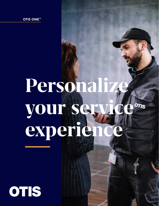OTIS ONE™

# Persona **your service experien**

OTIS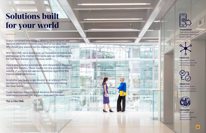With Otis ONE, we're building on our foundation of historic data and leveraging the internet of things to take our intelligence to the next level and suit your individual needs.

# **Solutions built for your world**

Today's connected technology is allowing personalization and real-time information in nearly every facet of our daily lives. Why should your elevator service experience be any different?

Data is now collected automatically and interpreted in the cloud via big data analytics. These insights not only provide continuous visibility of your units but also form predictive algorithms that improve overall performance.

So whether you have a single elevator or an entire portfolio, you belong to a connected network that keeps you moving like never before.

Faster response, more-informed decisions and stronger relationships between you and your dedicated Otis team.

This is Otis ONE.



### Clear communication and personalized tools deliver greater visibility.



Data-enabled teams improve response time and increase uptime.



### PREDICTIVE Deep data and early insights help to avoid unplanned shutdowns.



SUPPORTED IoT and our digital ecosystem are powering our Signature Service promise.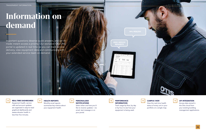ZERO SERVICE

### **Information on demand**

#### $\left| + \right|$ REAL-TIME DASHBOARDS

Important questions deserve quick answers, and we've made instant access a priority. Our exclusive Otis ONE portal is updated in real time so you can track service delivery, view equipment data and communicate with your extended service team on demand.

### PERSONALIZED **NOTIFICATIONS**

### $\ddot{\phantom{1}}$ PERFORMANCE INFORMATION

Equipment health, service calls and account updates are organized in easy-to-read

graphical dashboards and assess elevator health in less than five minutes.

Select when and how you'd like to receive updates – via email, text message or on your portal.

Track usage by floor, by day or by hour to see how your equipment is being used.



### CAMPUS VIEW

View the real-time health status of every unit in your portfolio on a single map.



### API INTEGRATION

Access data stored in the Otis cloud from your existing building management applications.

HEALTH REPORTS

Monthly email reports summarize key metrics about your equipment health.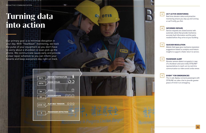2335 N

06 m/ s

s

02



**OTIS** 

OTIS

9576

 $\mathbf{0}$ 

50°C

0

### **Turning data into action**

Our primary goal is to minimize disruption in your day. With "heartbeat" monitoring, we track the pulse of your equipment so you don't have to worry about a shutdown or even pick up the phone. We communicate issues early and provide a clear repair schedule so you can inform your tenants and keep everyone's day right on track.

### 24/7 ACTIVE MONITORING

Real-time elevator status and proactive monitoring ensure you stay up and running or we'll notify you first.

|--|

### INFORMED REPAIRS

Service requests are closed sooner with automatic alerts that provide mechanics accurate fault information and the parts needed before they arrive at your building.



### PASSENGER ALERT

Elevator sensors detect occupants in case of a shutdown and auto-notify OTISLINE ® representatives to reach out via real-time communication so riders avoid undue stress.



### EVIEW ™ FOR EMERGENCIES

The in-cab display connects passengers with OTISLINE via video chat to provide greater peace of mind in an emergency.

### QUICKER RESOLUTION

Mobile field apps give mechanics resolution suggestions based on analytics and historic insights to support a faster return to service.



MOTOR TEMPERATURE

 $OQ$ 

 $C_{0}O(2)$ 

Ô Ô Ô

**lii** 

**Maintenance In Progress.Cauti** 

 $\bigcirc$ 

DOOR CYCLES

**ACCELERATION** 

SPEED

FLAT BELT TENSION

PASSENGER DETECTION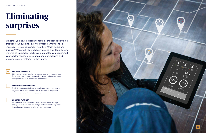Whether you have a dozen tenants or thousands traveling through your building, every elevator journey sends a message. Is your equipment healthy? Which floors are busiest? When will you need service and how long before it's time to upgrade? Predictive data helps you benchmark your performance, reduce unplanned shutdowns and prolong your investment in the future.



## **Eliminating surprises**

### BIG DATA ANALYTICS

30+ years of remote monitoring experience and aggregated data from more than 300,000 connected units provide highly accurate and specific trends to predict unit performance.



### PREDICTIVE MAINTENANCE

Predictive algorithms indicate when elevator component health degrades below certain thresholds so mechanics can perform repairs before a service request occurs.



### UPGRADE PLANNER

Recommendations are tailored based on similar elevator type and age to help you plan and budget for future capital expenses, increasing the lifetime and value of your investment.

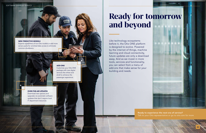**Ready for tomorrow and beyond**

Like technology ecosystems before it, the Otis ONE platform is designed to evolve. Powered by the internet of things, machine learning and cloud connectivity, future updates are only a download away. And as we invest in more tools, services and functionality, you can select from a menu of add-ons that make sense for your building and needs.

ADD-ONS

Customize your Otis ONE package with new digital services like eView and eCall to enhance the passenger experience.

OVER-THE-AIR UPDATES Download new options and upgrades via automatic software updates that don't require local IT department resources.

### NEW PREDICTIVE MODELS

Expand capabilities of non-Otis models or add more sensor packs for enriched data access to eliminate common shutdowns.



Ready to experience the next era of service? Talk to your Otis representative or go to otis.com for more